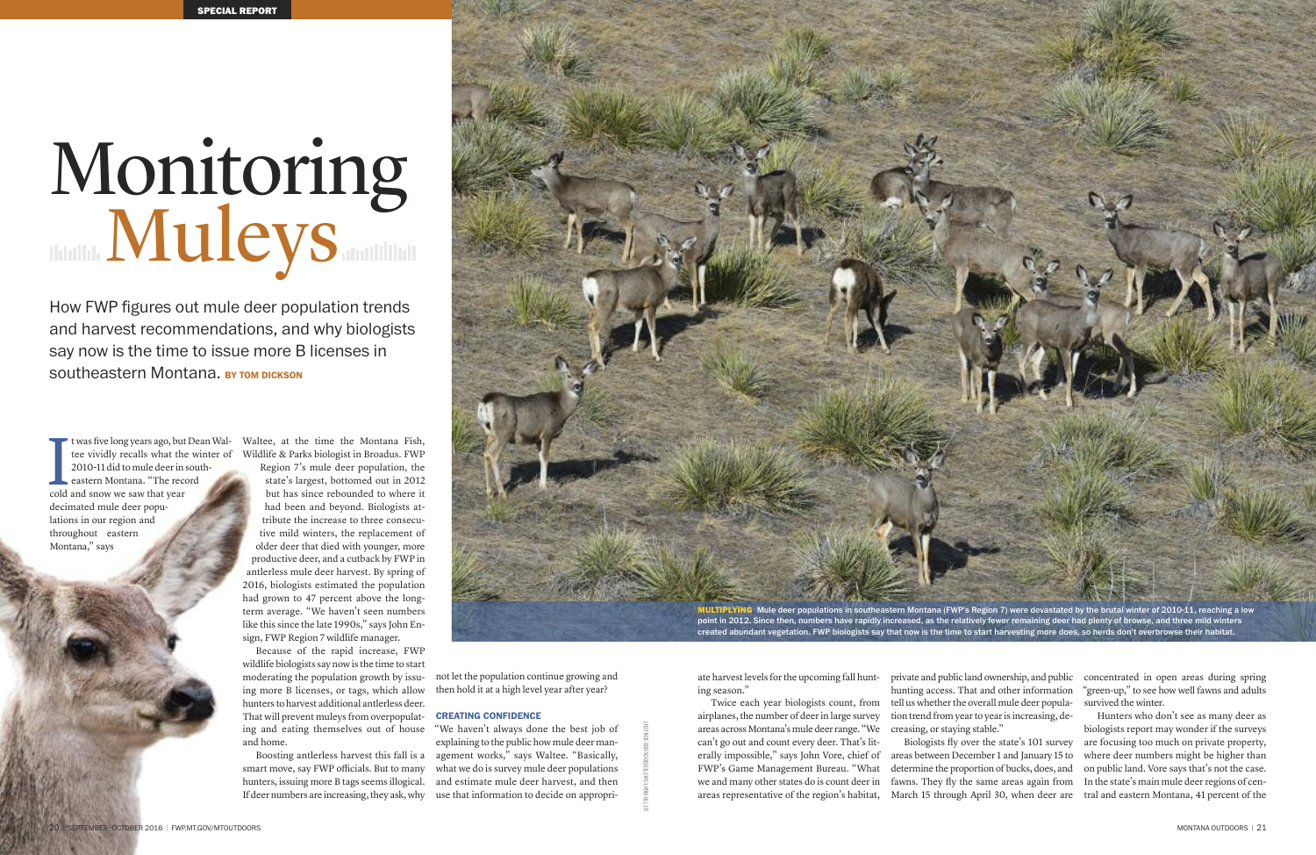ate harvest levels for the upcoming fall hunting season."

Twice each year biologists count, from airplanes, the number of deerin large survey areas across Montana's mule deer range. "We can't go out and count every deer. That's literally impossible," says John Vore, chief of FWP's Game Management Bureau. "What we and many other states do is count deerin areas representative of the region's habitat,

private and public land ownership, and public hunting access. That and other information tell us whether the overall mule deer population trend from year to year is increasing, decreasing, or staying stable." Biologists fly over the state's 101 survey

t was five long years ago, but Dean Waltee vividly recalls what the winter of 2010-11 did to mule deerin southeastern Montana. "The record t was five long years ago, but<br>tee vividly recalls what th<br>2010-11 did to mule deer in<br>eastern Montana. "The rec<br>cold and snow we saw that year decimated mule deer populations in our region and throughout eastern Montana," says

> areas between December 1 and January 15 to determine the proportion of bucks, does, and fawns. They fly the same areas again from March 15 through April 30, when deer are

concentrated in open areas during spring "green-up," to see how well fawns and adults survived the winter.

Hunters who don't see as many deer as biologists report may wonder if the surveys are focusing too much on private property, where deer numbers might be higher than on public land. Vore says that's not the case. In the state's main mule deerregions of central and eastern Montana, 41 percent of the

Boosting antlerless harvest this fall is a smart move, say FWP officials. But to many hunters, issuing more B tags seems illogical. If deer numbers are increasing, they ask, why

Waltee, at the time the Montana Fish, Wildlife & Parks biologist in Broadus. FWP Region 7's mule deer population, the state's largest, bottomed out in 2012 but has since rebounded to where it had been and beyond. Biologists attribute the increase to three consecutive mild winters, the replacement of older deer that died with younger, more productive deer, and a cutback by FWP in antlerless mule deer harvest. By spring of 2016, biologists estimated the population had grown to 47 percent above the longterm average. "We haven't seen numbers like this since the late 1990s," says John Ensign, FWP Region 7 wildlife manager.

Because of the rapid increase, FWP wildlife biologists say now is the time to start moderating the population growth by issuing more B licenses, or tags, which allow hunters to harvest additional antlerless deer. That will prevent muleys from overpopulating and eating themselves out of house and home.

not let the population continue growing and then hold it at a high level year after year?

### **CREATING CONfIDENCE**

"We haven't always done the best job of explaining to the public how mule deer management works," says Waltee. "Basically, what we do is survey mule deer populations and estimate mule deer harvest, and then use that information to decide on appropri-

How FWP figures out mule deer population trends and harvest recommendations, and why biologists say now is the time to issue more B licenses in southeastern Montana. **BY TOM DICKSON**

# Monitoring<br>Muleys



created abundant vegetation. FWP biologists say that now is the time to start harvesting more does, so herds don't overbrowse their habitat.

LEFTTO RIGHT:SHUTTERSTOCK;ROD SCHLECHT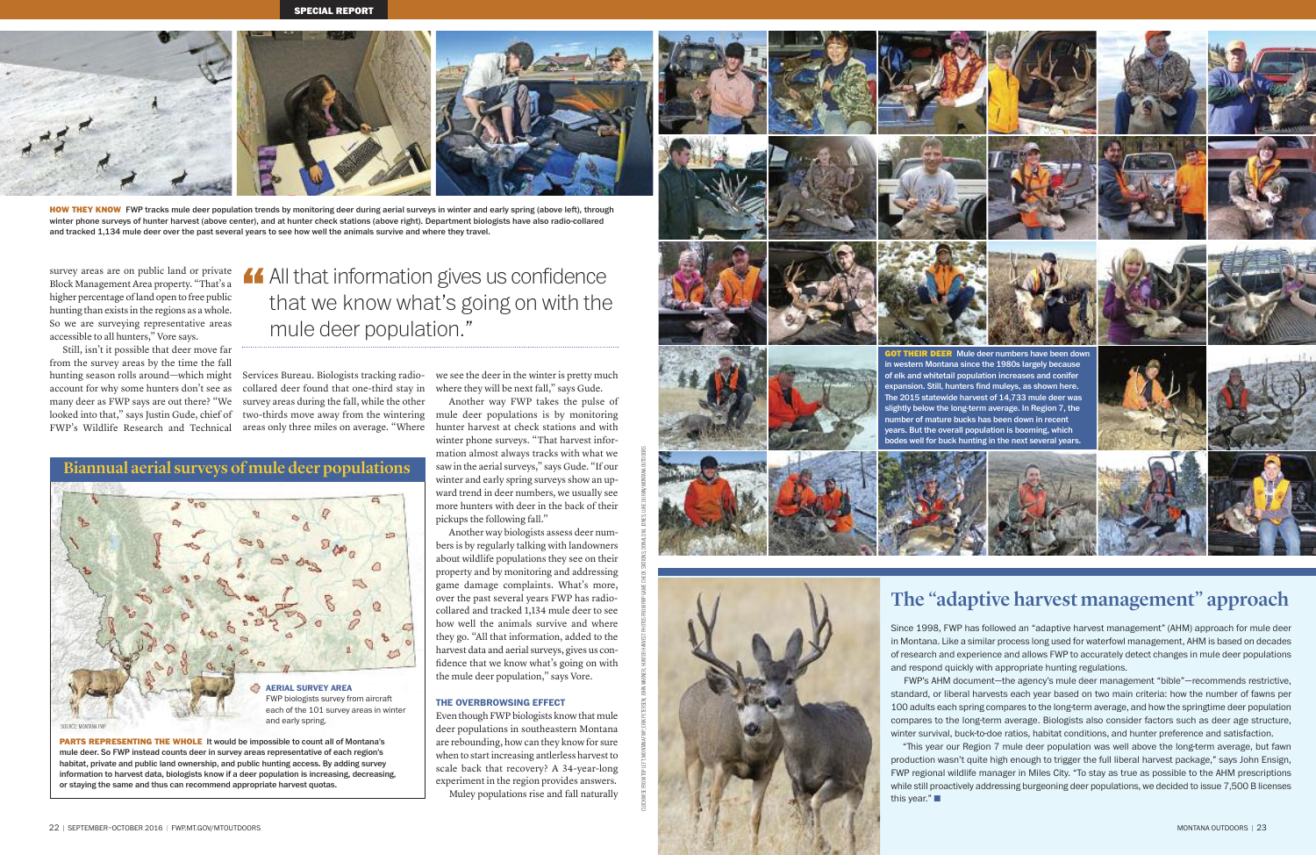**Biannual aerial surveys of mule deer populations**

survey areas are on public land or private Block Management Area property. "That's a higher percentage ofland open to free public hunting than exists in the regions as a whole. So we are surveying representative areas accessible to all hunters," Vore says.

Still, isn't it possible that deer move far from the survey areas by the time the fall hunting season rolls around—which might account for why some hunters don't see as many deer as FWP says are out there? "We looked into that," says Justin Gude, chief of two-thirds move away from the wintering FWP's Wildlife Research and Technical areas only three miles on average. "Where hunter harvest at check stations and with

Services Bureau. Biologists tracking radiocollared deer found that one-third stay in survey areas during the fall, while the other

we see the deer in the winter is pretty much where they will be next fall," says Gude. Another way FWP takes the pulse of

mule deer populations is by monitoring winter phone surveys. "That harvest information almost always tracks with what we saw in the aerial surveys," says Gude. "If our winter and early spring surveys show an upward trend in deer numbers, we usually see more hunters with deer in the back of their pickups the following fall."



**HOW THEY KNOW** FWP tracks mule deer population trends by monitoring deer during aerial surveys in winter and early spring (above left), through winter phone surveys of hunter harvest (above center), and at hunter check stations (above right). Department biologists have also radio-collared and tracked 1,134 mule deer over the past several years to see how well the animals survive and where they travel.

Another way biologists assess deer numbers is by regularly talking with landowners about wildlife populations they see on their property and by monitoring and addressing game damage complaints. What's more, over the past several years FWP has radiocollared and tracked 1,134 mule deer to see how well the animals survive and where they go. "All that information, added to the harvest data and aerial surveys, gives us confidence that we know what's going on with the mule deer population," says Vore.

CLOCKWISE FROM TEFT: MONTANA FWP; ERIK PETERSEN; JOHN WARNER; HUNTER HARVEST PHOTOS FROM FWP GAMECHECK STATIONS; DONALD M. JONES; LUKE DURAN/MONTANA OUTDOORS

## **ThE OVERBROwSING EffECT**

Even though FWP biologists know that mule deer populations in southeastern Montana are rebounding, how can they know for sure when to start increasing antlerless harvest to scale back that recovery? A 34-year-long experiment in the region provides answers. Muley populations rise and fall naturally





All that information gives us confidence<br>that we know what's going on with the that we know what's going on with the mule deer population."

**PARTS REPRESENTING THE WHOLE** It would be impossible to count all of Montana's mule deer. So FWP instead counts deer in survey areas representative of each region's habitat, private and public land ownership, and public hunting access. By adding survey information to harvest data, biologists know if a deer population is increasing, decreasing, or staying the same and thus can recommend appropriate harvest quotas.





SOURCE: MONTANAFWP

# **The "adaptive harvest management" approach**

Since 1998, FWP has followed an "adaptive harvest management" (AHM) approach for mule deer in Montana. Like a similar process long used for waterfowl management, AHM is based on decades of research and experience and allows FWP to accurately detect changes in mule deer populations and respond quickly with appropriate hunting regulations.

FWP's AHM document—the agency's mule deer management "bible"—recommends restrictive, standard, or liberal harvests each year based on two main criteria: how the number of fawns per 100 adults each spring compares to the long-term average, and how the springtime deer population compares to the long-term average. Biologists also consider factors such as deer age structure, winter survival, buck-to-doe ratios, habitat conditions, and hunter preference and satisfaction.

this year." $\blacksquare$ 

"ﬔis year our Region 7 mule deer population was well above the long-term average, but fawn production wasn't quite high enough to trigger the full liberal harvest package," says John Ensign, FWP regional wildlife manager in Miles City. "To stay as true as possible to the AHM prescriptions while still proactively addressing burgeoning deer populations, we decided to issue 7,500 B licenses

# **AERIAL SURVEY AREA** FWP biologists survey from aircraft each of the 101 survey areas in winter and early spring.









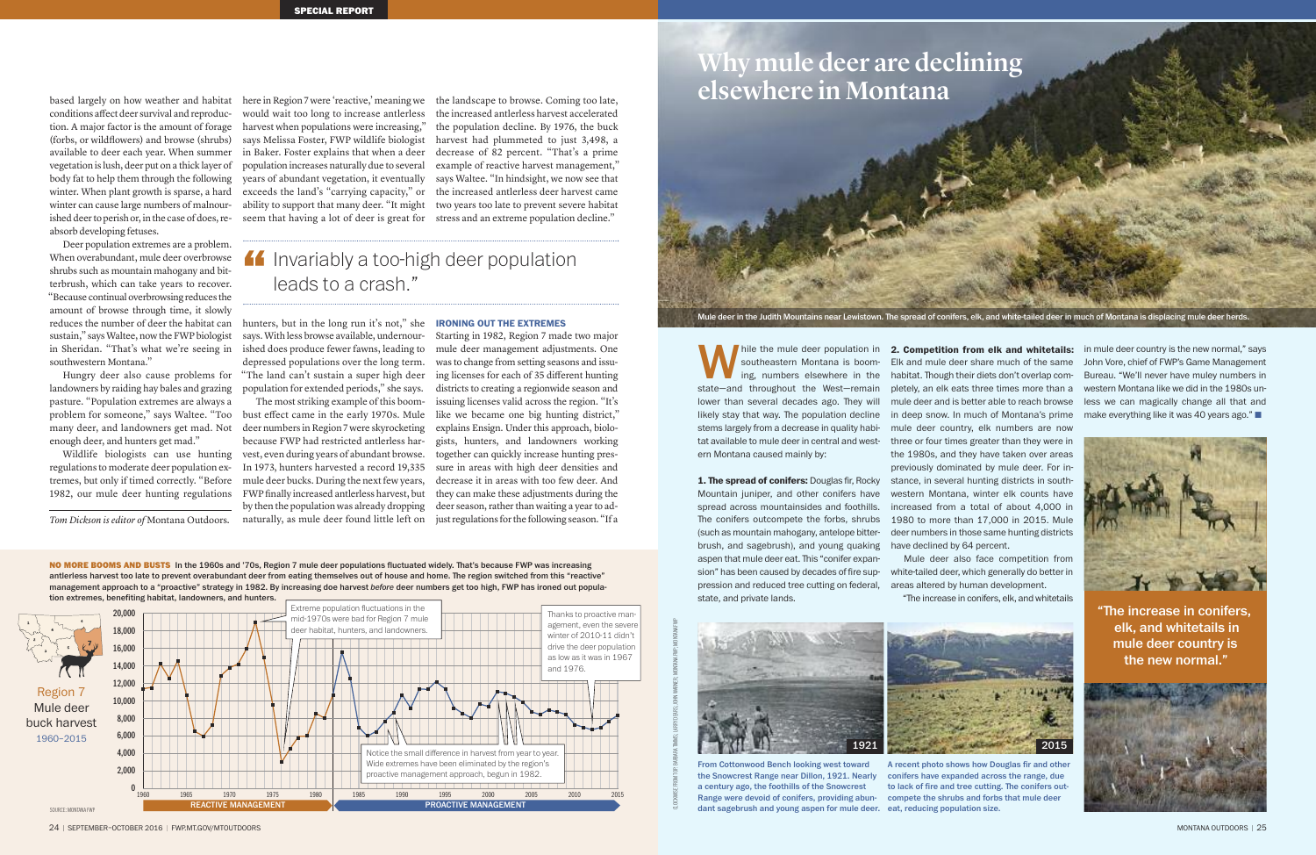**NO MORE BOOMS AND BUSTS** In the 1960s and '70s, Region 7 mule deer populations fluctuated widely. That's because FWP was increasing antlerless harvest too late to prevent overabundant deer from eating themselves out of house and home. The region switched from this "reactive" management approach to a "proactive" strategy in 1982. By increasing doe harvest *before* deer numbers get too high, FWP has ironed out popula-

hile the mule deer population in southeastern Montana is booming, numbers elsewhere in the while the mule deer population in<br>state—and throughout the West—remain<br>west—remain lower than several decades ago. They will likely stay that way. The population decline stems largely from a decrease in quality habitat available to mule deer in central and western Montana caused mainly by:

in mule deer country is the new normal," says John Vore, chief of FWP's Game Management Bureau. "We'll never have muley numbers in western Montana like we did in the 1980s unless we can magically change all that and make everything like it was 40 years ago." $\blacksquare$ 

**1. ﬔe spread of conifers:** Douglas fir, Rocky Mountain juniper, and other conifers have spread across mountainsides and foothills. The conifers outcompete the forbs, shrubs (such as mountain mahogany, antelope bitterbrush, and sagebrush), and young quaking aspen that mule deer eat. This "conifer expansion" has been caused by decades of fire suppression and reduced tree cutting on federal, state, and private lands.



here in Region 7 were 'reactive,' meaning we would wait too long to increase antlerless harvest when populations were increasing," says Melissa Foster, FWP wildlife biologist in Baker. Foster explains that when a deer population increases naturally due to several years of abundant vegetation, it eventually exceeds the land's "carrying capacity," or ability to support that many deer. "It might seem that having a lot of deer is great for

> Mule deer also face competition from white-tailed deer, which generally do better in areas altered by human development. "ﬔe increase in conifers, elk, and whitetails



Starting in 1982, Region 7 made two major mule deer management adjustments. One was to change from setting seasons and issuing licenses for each of 35 different hunting districts to creating a regionwide season and issuing licenses valid across the region. "It's like we became one big hunting district," explains Ensign. Under this approach, biologists, hunters, and landowners working together can quickly increase hunting pressure in areas with high deer densities and decrease it in areas with too few deer. And they can make these adjustments during the deer season, rather than waiting a year to adjust regulations for the following season. "If a

based largely on how weather and habitat conditions affect deer survival and reproduction. A major factor is the amount of forage (forbs, or wildflowers) and browse (shrubs) available to deer each year. When summer vegetation is lush, deer put on a thick layer of body fat to help them through the following winter. When plant growth is sparse, a hard winter can cause large numbers of malnourished deer to perish or, in the case of does, reabsorb developing fetuses.

# **If** Invariably a too-high deer population leads to a crash."

Deer population extremes are a problem. When overabundant, mule deer overbrowse shrubs such as mountain mahogany and bitterbrush, which can take years to recover. "Because continual overbrowsing reduces the amount of browse through time, it slowly reduces the number of deer the habitat can sustain," says Waltee, now the FWP biologist in Sheridan. "That's what we're seeing in ished does produce fewer fawns, leading to southwestern Montana."



"The increase in conifers, elk, and whitetails in mule deer country is the new normal."





Hungry deer also cause problems for landowners by raiding hay bales and grazing pasture. "Population extremes are always a problem for someone," says Waltee. "Too many deer, and landowners get mad. Not enough deer, and hunters get mad."

Wildlife biologists can use hunting regulations to moderate deer population extremes, but only if timed correctly. "Before 1982, our mule deer hunting regulations FWP finally increased antlerless harvest, but

hunters, but in the long run it's not," she says. With less browse available, undernourdepressed populations over the long term. "The land can't sustain a super high deer population for extended periods," she says.

The most striking example of this boombust effect came in the early 1970s. Mule deer numbers in Region 7 were skyrocketing because FWP had restricted antlerless harvest, even during years of abundant browse. In 1973, hunters harvested a record 19,335 mule deer bucks. During the next few years, by then the population was already dropping naturally, as mule deer found little left on

the landscape to browse. Coming too late, the increased antlerless harvest accelerated the population decline. By 1976, the buck harvest had plummeted to just 3,498, a decrease of 82 percent. "That's a prime example of reactive harvest management," says Waltee. "In hindsight, we now see that the increased antlerless deer harvest came two years too late to prevent severe habitat stress and an extreme population decline."

# **IRONING OUT ThE ExTREMES**



Mule deer in the Judith Mountains near Lewistown. The spread of conifers, elk, and white-tailed deer in much of Montana is displacing mule deer herds.

From Cottonwood Bench looking west toward the Snowcrest Range near Dillon, 1921. Nearly a century ago, the foothills of the Snowcrest Range were devoid of conifers, providing abundant sagebrush and young aspen for mule deer. eat, reducing population size.



A recent photo shows how Douglas fir and other conifers have expanded across the range, due to lack of fire and tree cutting. The conifers outcompete the shrubs and forbs that mule deer

24 | SEPTEMBER-OCTOBER 2016 | FWP.MT.GOV/MTOUTDOORS

CLOCKWISEFROM TOP: BARBARATIMMS;LARRY DEARS; JOHN WARNER; MONTANAFWP; MONTANAFWP

*Tom Dickson is editor of* Montana Outdoors*.*